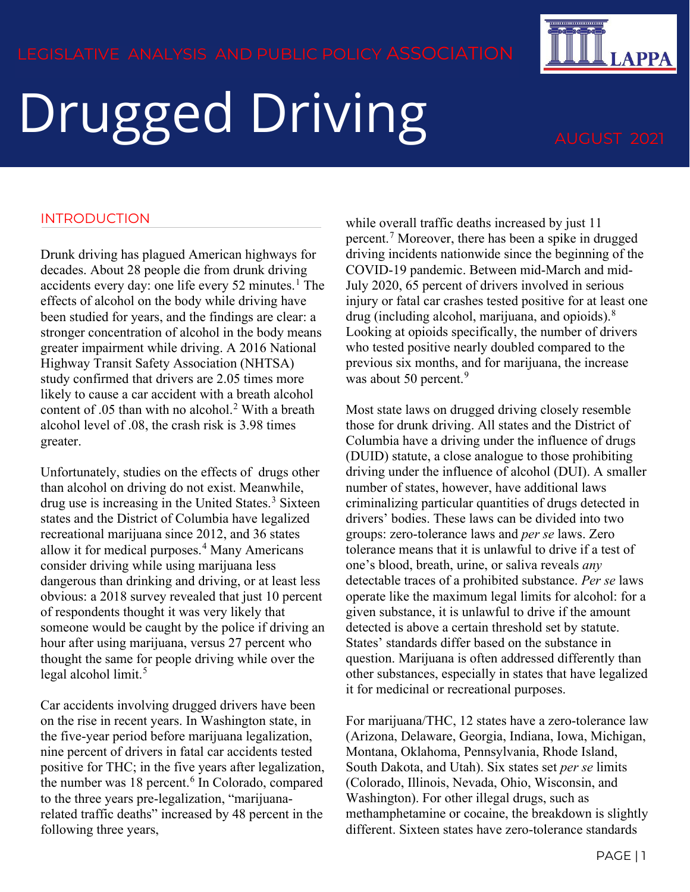# Drugged Driving AUGUST 202

## INTRODUCTION

Drunk driving has plagued American highways for decades. About 28 people die from drunk driving accidents every day: one life every  $52$  minutes.<sup>[1](#page-3-0)</sup> The effects of alcohol on the body while driving have been studied for years, and the findings are clear: a stronger concentration of alcohol in the body means greater impairment while driving. A 2016 National Highway Transit Safety Association (NHTSA) study confirmed that drivers are 2.05 times more likely to cause a car accident with a breath alcohol content of  $.05$  than with no alcohol.<sup>[2](#page-3-1)</sup> With a breath alcohol level of .08, the crash risk is 3.98 times greater.

Unfortunately, studies on the effects of drugs other than alcohol on driving do not exist. Meanwhile, drug use is increasing in the United States.<sup>[3](#page-3-2)</sup> Sixteen states and the District of Columbia have legalized recreational marijuana since 2012, and 36 states allow it for medical purposes.<sup>[4](#page-3-3)</sup> Many Americans consider driving while using marijuana less dangerous than drinking and driving, or at least less obvious: a 2018 survey revealed that just 10 percent of respondents thought it was very likely that someone would be caught by the police if driving an hour after using marijuana, versus 27 percent who thought the same for people driving while over the legal alcohol limit.<sup>[5](#page-3-4)</sup>

Car accidents involving drugged drivers have been on the rise in recent years. In Washington state, in the five-year period before marijuana legalization, nine percent of drivers in fatal car accidents tested positive for THC; in the five years after legalization, the number was 18 percent.<sup>[6](#page-3-5)</sup> In Colorado, compared to the three years pre-legalization, "marijuanarelated traffic deaths" increased by 48 percent in the following three years,

while overall traffic deaths increased by just 11 percent.[7](#page-3-6) Moreover, there has been a spike in drugged driving incidents nationwide since the beginning of the COVID-19 pandemic. Between mid-March and mid-July 2020, 65 percent of drivers involved in serious injury or fatal car crashes tested positive for at least one drug (including alcohol, marijuana, and opioids).[8](#page-3-7) Looking at opioids specifically, the number of drivers who tested positive nearly doubled compared to the previous six months, and for marijuana, the increase was about 50 percent.<sup>[9](#page-3-8)</sup>

Most state laws on drugged driving closely resemble those for drunk driving. All states and the District of Columbia have a driving under the influence of drugs (DUID) statute, a close analogue to those prohibiting driving under the influence of alcohol (DUI). A smaller number of states, however, have additional laws criminalizing particular quantities of drugs detected in drivers' bodies. These laws can be divided into two groups: zero-tolerance laws and *per se* laws. Zero tolerance means that it is unlawful to drive if a test of one's blood, breath, urine, or saliva reveals *any* detectable traces of a prohibited substance. *Per se* laws operate like the maximum legal limits for alcohol: for a given substance, it is unlawful to drive if the amount detected is above a certain threshold set by statute. States' standards differ based on the substance in question. Marijuana is often addressed differently than other substances, especially in states that have legalized it for medicinal or recreational purposes.

For marijuana/THC, 12 states have a zero-tolerance law (Arizona, Delaware, Georgia, Indiana, Iowa, Michigan, Montana, Oklahoma, Pennsylvania, Rhode Island, South Dakota, and Utah). Six states set *per se* limits (Colorado, Illinois, Nevada, Ohio, Wisconsin, and Washington). For other illegal drugs, such as methamphetamine or cocaine, the breakdown is slightly different. Sixteen states have zero-tolerance standards

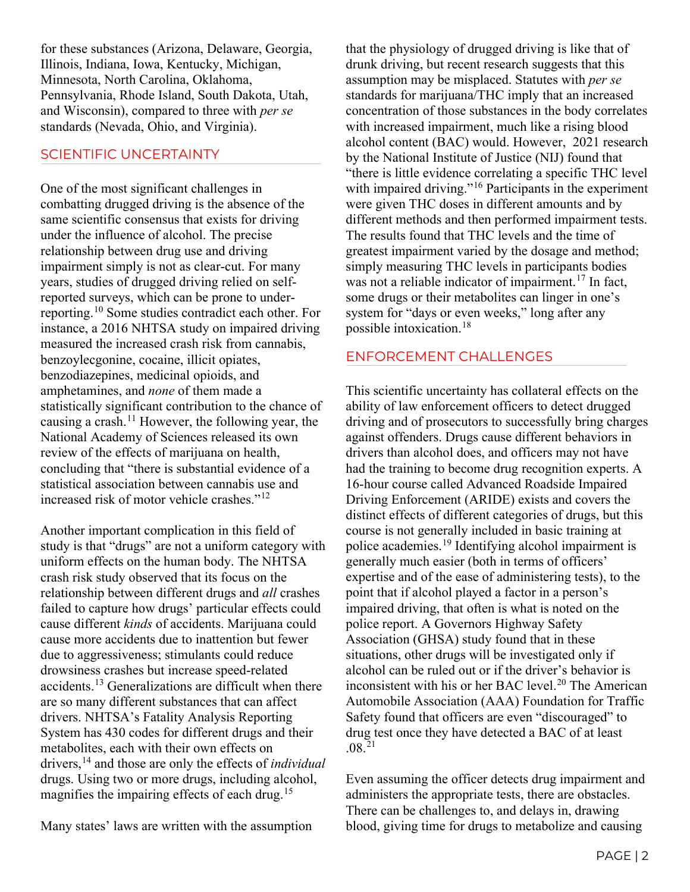for these substances (Arizona, Delaware, Georgia, Illinois, Indiana, Iowa, Kentucky, Michigan, Minnesota, North Carolina, Oklahoma, Pennsylvania, Rhode Island, South Dakota, Utah, and Wisconsin), compared to three with *per se* standards (Nevada, Ohio, and Virginia).

### SCIENTIFIC UNCERTAINTY

One of the most significant challenges in combatting drugged driving is the absence of the same scientific consensus that exists for driving under the influence of alcohol. The precise relationship between drug use and driving impairment simply is not as clear-cut. For many years, studies of drugged driving relied on selfreported surveys, which can be prone to underreporting.[10](#page-3-9) Some studies contradict each other. For instance, a 2016 NHTSA study on impaired driving measured the increased crash risk from cannabis, benzoylecgonine, cocaine, illicit opiates, benzodiazepines, medicinal opioids, and amphetamines, and *none* of them made a statistically significant contribution to the chance of causing a crash.<sup>[11](#page-3-10)</sup> However, the following year, the National Academy of Sciences released its own review of the effects of marijuana on health, concluding that "there is substantial evidence of a statistical association between cannabis use and increased risk of motor vehicle crashes."[12](#page-3-11)

Another important complication in this field of study is that "drugs" are not a uniform category with uniform effects on the human body. The NHTSA crash risk study observed that its focus on the relationship between different drugs and *all* crashes failed to capture how drugs' particular effects could cause different *kinds* of accidents. Marijuana could cause more accidents due to inattention but fewer due to aggressiveness; stimulants could reduce drowsiness crashes but increase speed-related accidents.[13](#page-3-12) Generalizations are difficult when there are so many different substances that can affect drivers. NHTSA's Fatality Analysis Reporting System has 430 codes for different drugs and their metabolites, each with their own effects on drivers,[14](#page-3-13) and those are only the effects of *individual* drugs. Using two or more drugs, including alcohol, magnifies the impairing effects of each drug.<sup>[15](#page-3-14)</sup>

that the physiology of drugged driving is like that of drunk driving, but recent research suggests that this assumption may be misplaced. Statutes with *per se* standards for marijuana/THC imply that an increased concentration of those substances in the body correlates with increased impairment, much like a rising blood alcohol content (BAC) would. However, 2021 research by the National Institute of Justice (NIJ) found that "there is little evidence correlating a specific THC level with impaired driving."<sup>[16](#page-3-15)</sup> Participants in the experiment were given THC doses in different amounts and by different methods and then performed impairment tests. The results found that THC levels and the time of greatest impairment varied by the dosage and method; simply measuring THC levels in participants bodies was not a reliable indicator of impairment.<sup>[17](#page-3-16)</sup> In fact, some drugs or their metabolites can linger in one's system for "days or even weeks," long after any possible intoxication.[18](#page-3-17)

## ENFORCEMENT CHALLENGES

This scientific uncertainty has collateral effects on the ability of law enforcement officers to detect drugged driving and of prosecutors to successfully bring charges against offenders. Drugs cause different behaviors in drivers than alcohol does, and officers may not have had the training to become drug recognition experts. A 16-hour course called Advanced Roadside Impaired Driving Enforcement (ARIDE) exists and covers the distinct effects of different categories of drugs, but this course is not generally included in basic training at police academies.[19](#page-3-18) Identifying alcohol impairment is generally much easier (both in terms of officers' expertise and of the ease of administering tests), to the point that if alcohol played a factor in a person's impaired driving, that often is what is noted on the police report. A Governors Highway Safety Association (GHSA) study found that in these situations, other drugs will be investigated only if alcohol can be ruled out or if the driver's behavior is inconsistent with his or her BAC level.<sup>[20](#page-3-19)</sup> The American Automobile Association (AAA) Foundation for Traffic Safety found that officers are even "discouraged" to drug test once they have detected a BAC of at least  $.08^{21}$  $.08^{21}$  $.08^{21}$ 

Even assuming the officer detects drug impairment and administers the appropriate tests, there are obstacles. There can be challenges to, and delays in, drawing blood, giving time for drugs to metabolize and causing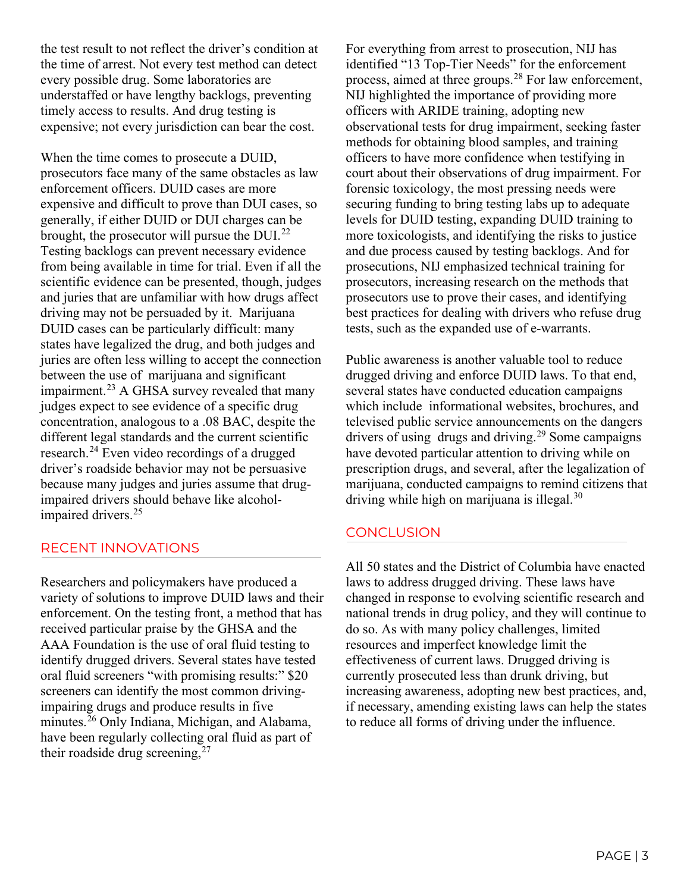the test result to not reflect the driver's condition at the time of arrest. Not every test method can detect every possible drug. Some laboratories are understaffed or have lengthy backlogs, preventing timely access to results. And drug testing is expensive; not every jurisdiction can bear the cost.

When the time comes to prosecute a DUID, prosecutors face many of the same obstacles as law enforcement officers. DUID cases are more expensive and difficult to prove than DUI cases, so generally, if either DUID or DUI charges can be brought, the prosecutor will pursue the DUI.<sup>[22](#page-3-21)</sup> Testing backlogs can prevent necessary evidence from being available in time for trial. Even if all the scientific evidence can be presented, though, judges and juries that are unfamiliar with how drugs affect driving may not be persuaded by it. Marijuana DUID cases can be particularly difficult: many states have legalized the drug, and both judges and juries are often less willing to accept the connection between the use of marijuana and significant impairment.[23](#page-3-22) A GHSA survey revealed that many judges expect to see evidence of a specific drug concentration, analogous to a .08 BAC, despite the different legal standards and the current scientific research.[24](#page-3-23) Even video recordings of a drugged driver's roadside behavior may not be persuasive because many judges and juries assume that drugimpaired drivers should behave like alcohol-impaired drivers.<sup>[25](#page-3-24)</sup>

# RECENT INNOVATIONS

Researchers and policymakers have produced a variety of solutions to improve DUID laws and their enforcement. On the testing front, a method that has received particular praise by the GHSA and the AAA Foundation is the use of oral fluid testing to identify drugged drivers. Several states have tested oral fluid screeners "with promising results:" \$20 screeners can identify the most common drivingimpairing drugs and produce results in five minutes.[26](#page-3-25) Only Indiana, Michigan, and Alabama, have been regularly collecting oral fluid as part of their roadside drug screening,  $27$ 

For everything from arrest to prosecution, NIJ has identified "13 Top-Tier Needs" for the enforcement process, aimed at three groups.<sup>[28](#page-3-27)</sup> For law enforcement, NIJ highlighted the importance of providing more officers with ARIDE training, adopting new observational tests for drug impairment, seeking faster methods for obtaining blood samples, and training officers to have more confidence when testifying in court about their observations of drug impairment. For forensic toxicology, the most pressing needs were securing funding to bring testing labs up to adequate levels for DUID testing, expanding DUID training to more toxicologists, and identifying the risks to justice and due process caused by testing backlogs. And for prosecutions, NIJ emphasized technical training for prosecutors, increasing research on the methods that prosecutors use to prove their cases, and identifying best practices for dealing with drivers who refuse drug tests, such as the expanded use of e-warrants.

Public awareness is another valuable tool to reduce drugged driving and enforce DUID laws. To that end, several states have conducted education campaigns which include informational websites, brochures, and televised public service announcements on the dangers drivers of using drugs and driving.<sup>[29](#page-3-28)</sup> Some campaigns have devoted particular attention to driving while on prescription drugs, and several, after the legalization of marijuana, conducted campaigns to remind citizens that driving while high on marijuana is illegal.<sup>[30](#page-3-29)</sup>

# **CONCLUSION**

All 50 states and the District of Columbia have enacted laws to address drugged driving. These laws have changed in response to evolving scientific research and national trends in drug policy, and they will continue to do so. As with many policy challenges, limited resources and imperfect knowledge limit the effectiveness of current laws. Drugged driving is currently prosecuted less than drunk driving, but increasing awareness, adopting new best practices, and, if necessary, amending existing laws can help the states to reduce all forms of driving under the influence.